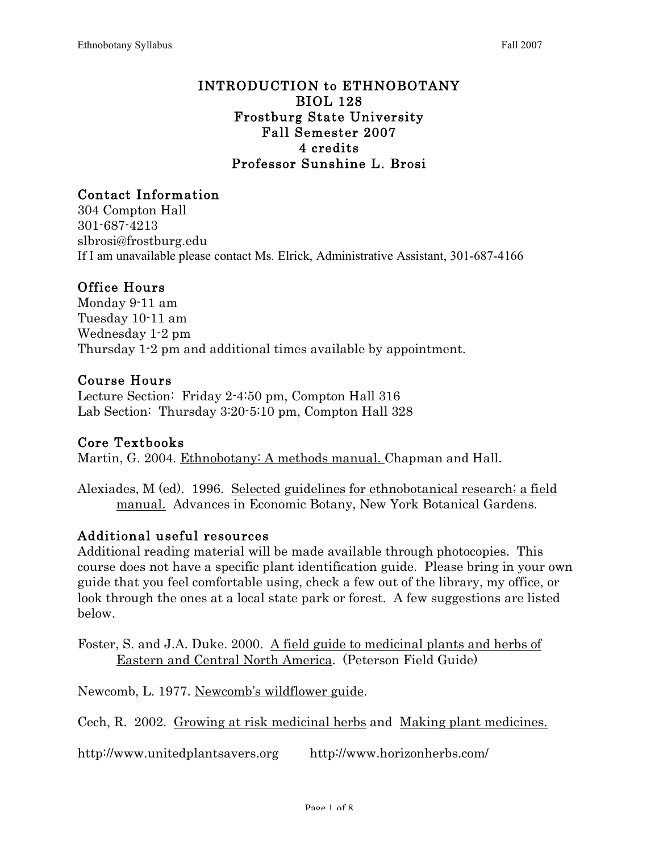#### INTRODUCTION to ETHNOBOTANY BIOL 128 Frostburg State University Fall Semester 2007 4 credits Professor Sunshine L. Brosi

# Contact Information

304 Compton Hall 301-687-4213 slbrosi@frostburg.edu If I am unavailable please contact Ms. Elrick, Administrative Assistant, 301-687-4166

### Office Hours

Monday 9-11 am Tuesday 10-11 am Wednesday 1-2 pm Thursday 1-2 pm and additional times available by appointment.

### Course Hours

Lecture Section: Friday 2-4:50 pm, Compton Hall 316 Lab Section: Thursday 3:20-5:10 pm, Compton Hall 328

### Core Textbooks

Martin, G. 2004. Ethnobotany: A methods manual. Chapman and Hall.

Alexiades, M (ed). 1996. Selected guidelines for ethnobotanical research; a field manual. Advances in Economic Botany, New York Botanical Gardens.

### Additional useful resources

Additional reading material will be made available through photocopies. This course does not have a specific plant identification guide. Please bring in your own guide that you feel comfortable using, check a few out of the library, my office, or look through the ones at a local state park or forest. A few suggestions are listed below.

Foster, S. and J.A. Duke. 2000. A field guide to medicinal plants and herbs of Eastern and Central North America. (Peterson Field Guide)

Newcomb, L. 1977. Newcomb's wildflower guide.

Cech, R. 2002. Growing at risk medicinal herbs and Making plant medicines.

http://www.unitedplantsavers.org http://www.horizonherbs.com/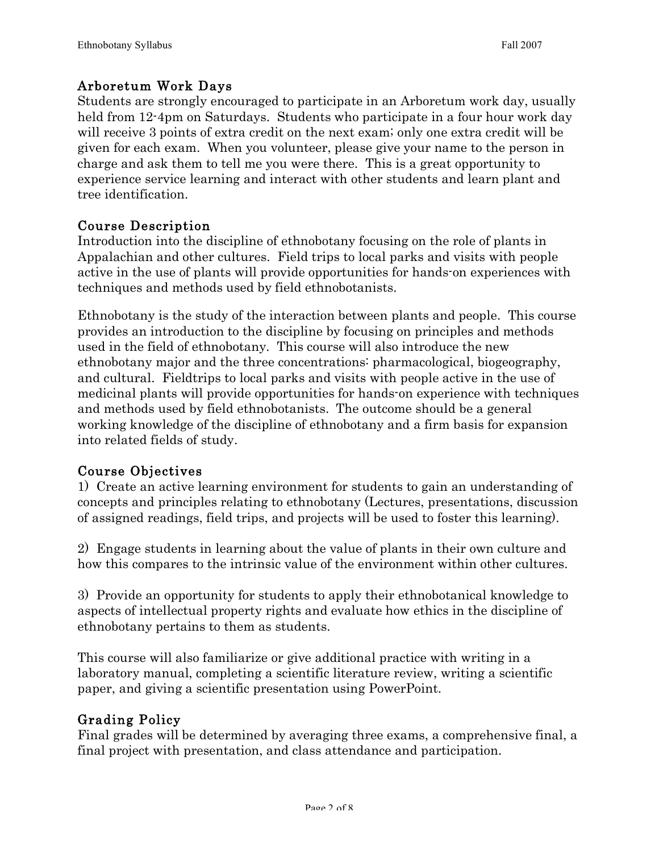### Arboretum Work Days

Students are strongly encouraged to participate in an Arboretum work day, usually held from 12-4pm on Saturdays. Students who participate in a four hour work day will receive 3 points of extra credit on the next exam; only one extra credit will be given for each exam. When you volunteer, please give your name to the person in charge and ask them to tell me you were there. This is a great opportunity to experience service learning and interact with other students and learn plant and tree identification.

### Course Description

Introduction into the discipline of ethnobotany focusing on the role of plants in Appalachian and other cultures. Field trips to local parks and visits with people active in the use of plants will provide opportunities for hands-on experiences with techniques and methods used by field ethnobotanists.

Ethnobotany is the study of the interaction between plants and people. This course provides an introduction to the discipline by focusing on principles and methods used in the field of ethnobotany. This course will also introduce the new ethnobotany major and the three concentrations: pharmacological, biogeography, and cultural. Fieldtrips to local parks and visits with people active in the use of medicinal plants will provide opportunities for hands-on experience with techniques and methods used by field ethnobotanists. The outcome should be a general working knowledge of the discipline of ethnobotany and a firm basis for expansion into related fields of study.

### Course Objectives

1) Create an active learning environment for students to gain an understanding of concepts and principles relating to ethnobotany (Lectures, presentations, discussion of assigned readings, field trips, and projects will be used to foster this learning).

2) Engage students in learning about the value of plants in their own culture and how this compares to the intrinsic value of the environment within other cultures.

3) Provide an opportunity for students to apply their ethnobotanical knowledge to aspects of intellectual property rights and evaluate how ethics in the discipline of ethnobotany pertains to them as students.

This course will also familiarize or give additional practice with writing in a laboratory manual, completing a scientific literature review, writing a scientific paper, and giving a scientific presentation using PowerPoint.

### Grading Policy

Final grades will be determined by averaging three exams, a comprehensive final, a final project with presentation, and class attendance and participation.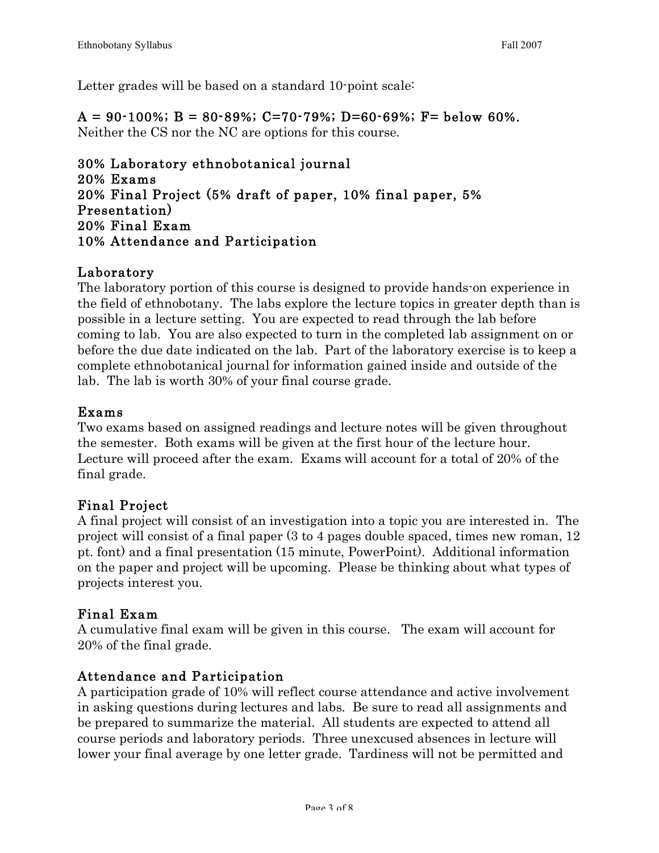Letter grades will be based on a standard 10-point scale:

 $A = 90-100\%$ ;  $B = 80-89\%$ ; C=70-79%; D=60-69%; F= below 60%. Neither the CS nor the NC are options for this course.

30% Laboratory ethnobotanical journal 20% Exams 20% Final Project (5% draft of paper, 10% final paper, 5% Presentation) 20% Final Exam 10% Attendance and Participation

## Laboratory

The laboratory portion of this course is designed to provide hands-on experience in the field of ethnobotany. The labs explore the lecture topics in greater depth than is possible in a lecture setting. You are expected to read through the lab before coming to lab. You are also expected to turn in the completed lab assignment on or before the due date indicated on the lab. Part of the laboratory exercise is to keep a complete ethnobotanical journal for information gained inside and outside of the lab. The lab is worth 30% of your final course grade.

### Exams

Two exams based on assigned readings and lecture notes will be given throughout the semester. Both exams will be given at the first hour of the lecture hour. Lecture will proceed after the exam. Exams will account for a total of 20% of the final grade.

# Final Project

A final project will consist of an investigation into a topic you are interested in. The project will consist of a final paper (3 to 4 pages double spaced, times new roman, 12 pt. font) and a final presentation (15 minute, PowerPoint). Additional information on the paper and project will be upcoming. Please be thinking about what types of projects interest you.

### Final Exam

A cumulative final exam will be given in this course. The exam will account for 20% of the final grade.

# Attendance and Participation

A participation grade of 10% will reflect course attendance and active involvement in asking questions during lectures and labs. Be sure to read all assignments and be prepared to summarize the material. All students are expected to attend all course periods and laboratory periods. Three unexcused absences in lecture will lower your final average by one letter grade. Tardiness will not be permitted and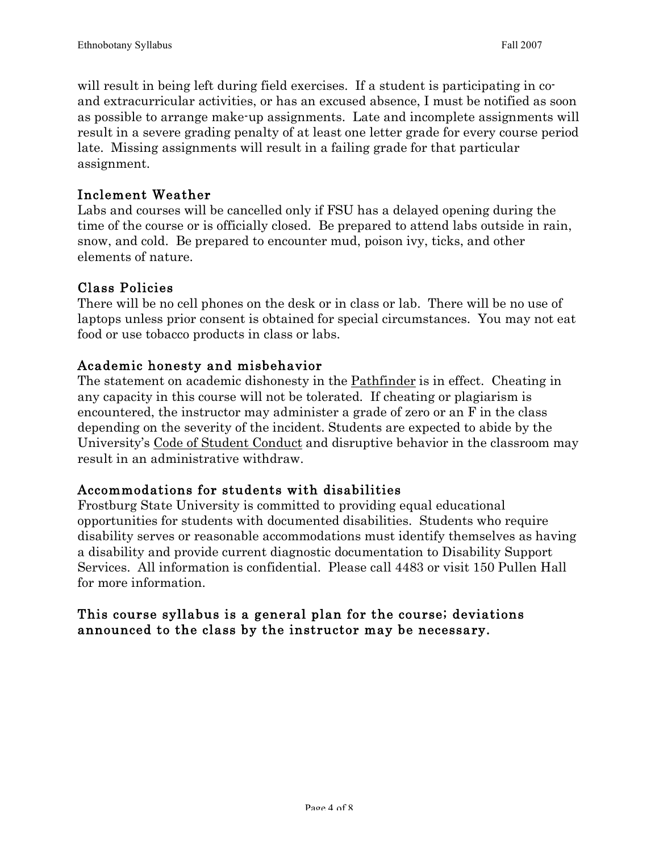will result in being left during field exercises. If a student is participating in coand extracurricular activities, or has an excused absence, I must be notified as soon as possible to arrange make-up assignments. Late and incomplete assignments will result in a severe grading penalty of at least one letter grade for every course period late. Missing assignments will result in a failing grade for that particular assignment.

### Inclement Weather

Labs and courses will be cancelled only if FSU has a delayed opening during the time of the course or is officially closed. Be prepared to attend labs outside in rain, snow, and cold. Be prepared to encounter mud, poison ivy, ticks, and other elements of nature.

## Class Policies

There will be no cell phones on the desk or in class or lab. There will be no use of laptops unless prior consent is obtained for special circumstances. You may not eat food or use tobacco products in class or labs.

## Academic honesty and misbehavior

The statement on academic dishonesty in the Pathfinder is in effect. Cheating in any capacity in this course will not be tolerated. If cheating or plagiarism is encountered, the instructor may administer a grade of zero or an F in the class depending on the severity of the incident. Students are expected to abide by the University's Code of Student Conduct and disruptive behavior in the classroom may result in an administrative withdraw.

# Accommodations for students with disabilities

Frostburg State University is committed to providing equal educational opportunities for students with documented disabilities. Students who require disability serves or reasonable accommodations must identify themselves as having a disability and provide current diagnostic documentation to Disability Support Services. All information is confidential. Please call 4483 or visit 150 Pullen Hall for more information.

## This course syllabus is a general plan for the course; deviations announced to the class by the instructor may be necessary.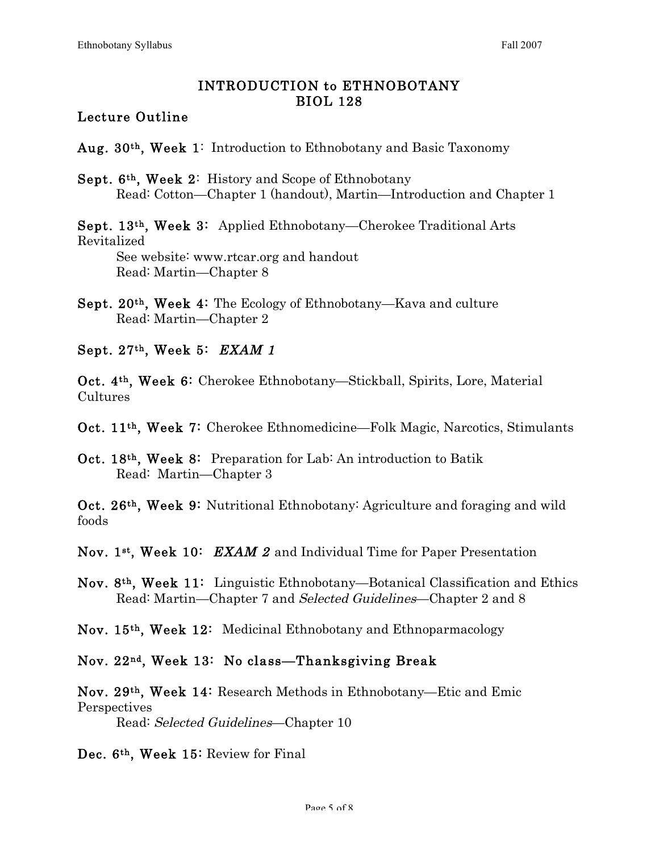### INTRODUCTION to ETHNOBOTANY BIOL 128

### Lecture Outline

Aug. 30<sup>th</sup>, Week 1: Introduction to Ethnobotany and Basic Taxonomy

Sept. 6th , Week 2: History and Scope of Ethnobotany Read: Cotton—Chapter 1 (handout), Martin—Introduction and Chapter 1

Sept. 13<sup>th</sup>, Week 3: Applied Ethnobotany—Cherokee Traditional Arts Revitalized

See website: www.rtcar.org and handout Read: Martin—Chapter 8

- Sept. 20th , Week 4: The Ecology of Ethnobotany—Kava and culture Read: Martin—Chapter 2
- Sept. 27<sup>th</sup>, Week 5: *EXAM 1*

Oct. 4<sup>th</sup>, Week 6: Cherokee Ethnobotany—Stickball, Spirits, Lore, Material Cultures

Oct. 11th , Week 7: Cherokee Ethnomedicine—Folk Magic, Narcotics, Stimulants

Oct. 18th , Week 8: Preparation for Lab: An introduction to Batik Read: Martin—Chapter 3

Oct. 26<sup>th</sup>, Week 9: Nutritional Ethnobotany: Agriculture and foraging and wild foods

Nov. 1st, Week 10:  $\,EXAM\,2$  and Individual Time for Paper Presentation

Nov. 8<sup>th</sup>, Week 11: Linguistic Ethnobotany—Botanical Classification and Ethics Read: Martin—Chapter 7 and Selected Guidelines—Chapter 2 and 8

Nov. 15<sup>th</sup>, Week 12: Medicinal Ethnobotany and Ethnoparmacology

Nov. 22nd , Week 13: No class—Thanksgiving Break

Nov. 29th , Week 14: Research Methods in Ethnobotany—Etic and Emic **Perspectives** Read: Selected Guidelines—Chapter 10

Dec. 6th , Week 15: Review for Final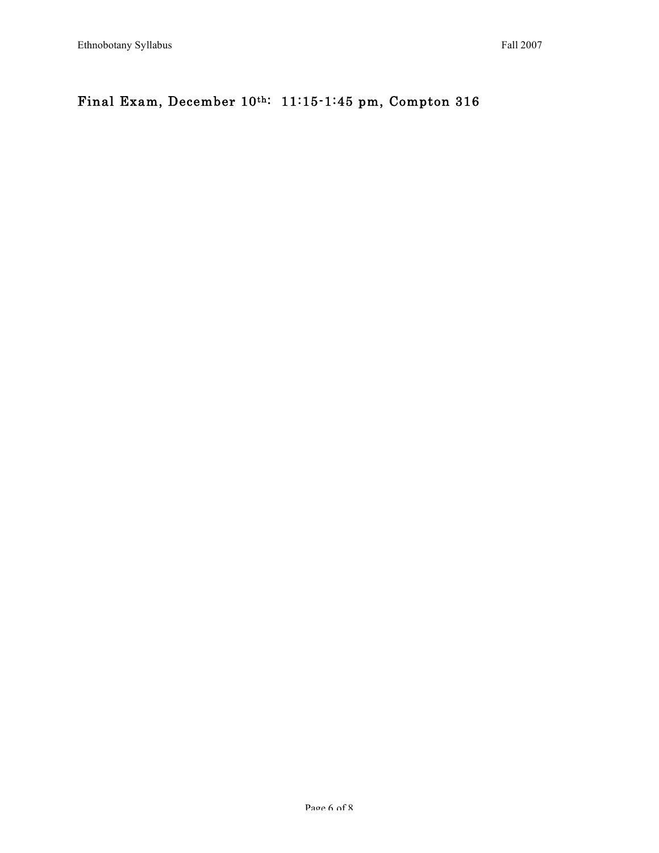# Final Exam, December 10th: 11:15-1:45 pm, Compton 316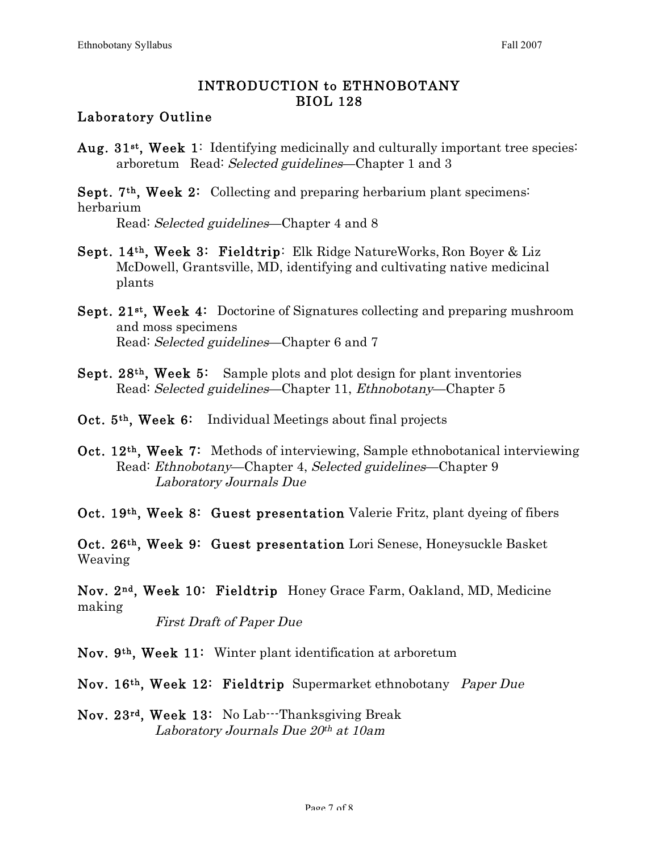### INTRODUCTION to ETHNOBOTANY BIOL 128

### Laboratory Outline

Aug. 31<sup>st</sup>, Week 1: Identifying medicinally and culturally important tree species: arboretum Read: Selected guidelines—Chapter 1 and 3

Sept. 7<sup>th</sup>, Week 2: Collecting and preparing herbarium plant specimens: herbarium

Read: Selected guidelines—Chapter 4 and 8

- Sept. 14th , Week 3: Fieldtrip: Elk Ridge NatureWorks, Ron Boyer & Liz McDowell, Grantsville, MD, identifying and cultivating native medicinal plants
- Sept. 21<sup>st</sup>, Week 4: Doctorine of Signatures collecting and preparing mushroom and moss specimens Read: Selected guidelines—Chapter 6 and 7
- Sept.  $28<sup>th</sup>$ , Week 5: Sample plots and plot design for plant inventories Read: Selected guidelines—Chapter 11, Ethnobotany—Chapter 5
- Oct. 5<sup>th</sup>, Week 6: Individual Meetings about final projects
- Oct. 12<sup>th</sup>, Week 7: Methods of interviewing, Sample ethnobotanical interviewing Read: Ethnobotany—Chapter 4, Selected guidelines—Chapter 9 Laboratory Journals Due

Oct. 19<sup>th</sup>, Week 8: Guest presentation Valerie Fritz, plant dyeing of fibers

Oct. 26<sup>th</sup>, Week 9: Guest presentation Lori Senese, Honeysuckle Basket Weaving

Nov. 2<sup>nd</sup>, Week 10: Fieldtrip Honey Grace Farm, Oakland, MD, Medicine making

First Draft of Paper Due

Nov. 9th , Week 11: Winter plant identification at arboretum

Nov. 16<sup>th</sup>, Week 12: Fieldtrip Supermarket ethnobotany Paper Due

Nov. 23<sup>rd</sup>, Week 13: No Lab---Thanksgiving Break Laboratory Journals Due  $20<sup>th</sup>$  at 10am